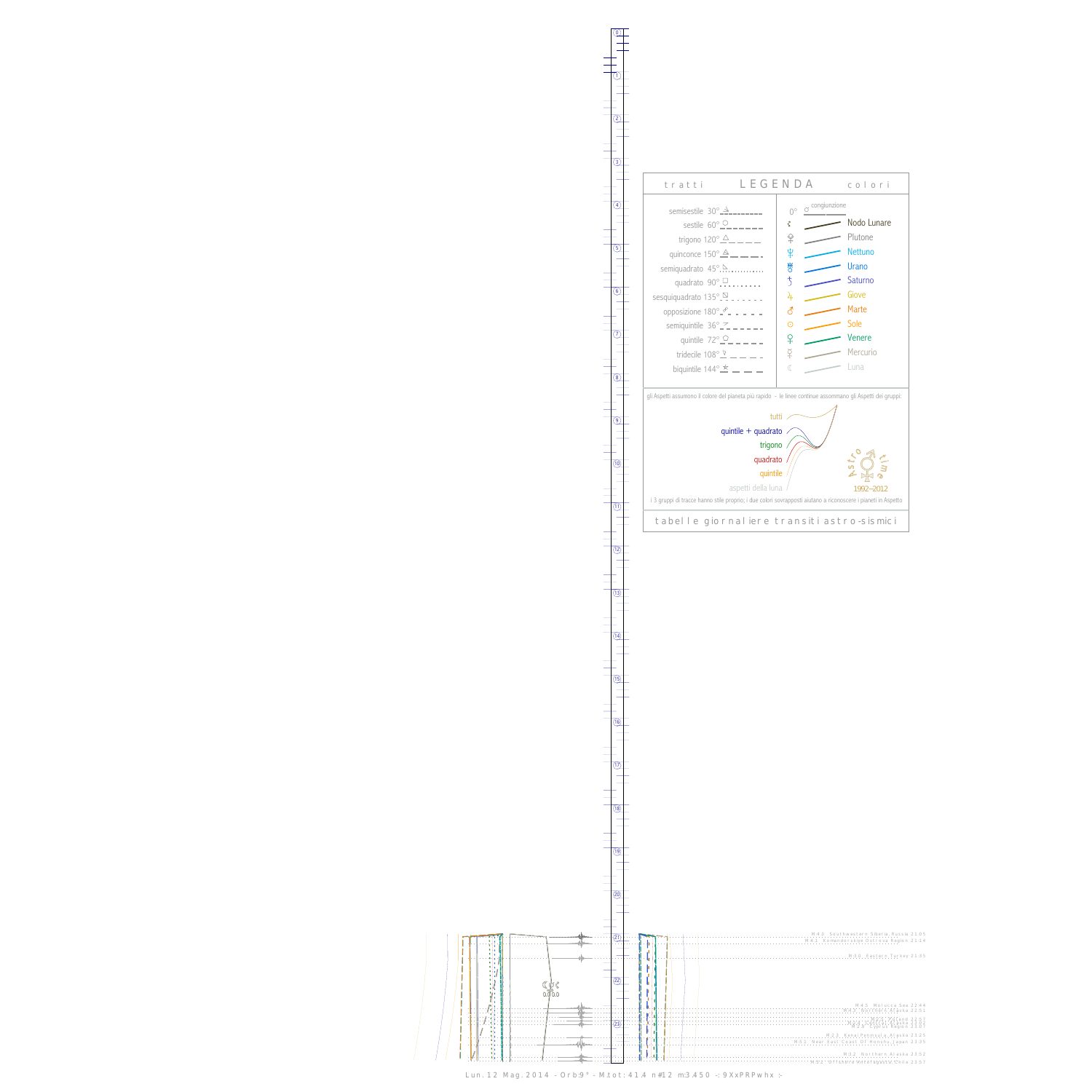$\begin{array}{c} \begin{array}{c} \begin{array}{c} \end{array} \\ \begin{array}{c} \end{array} \end{array} \end{array}$